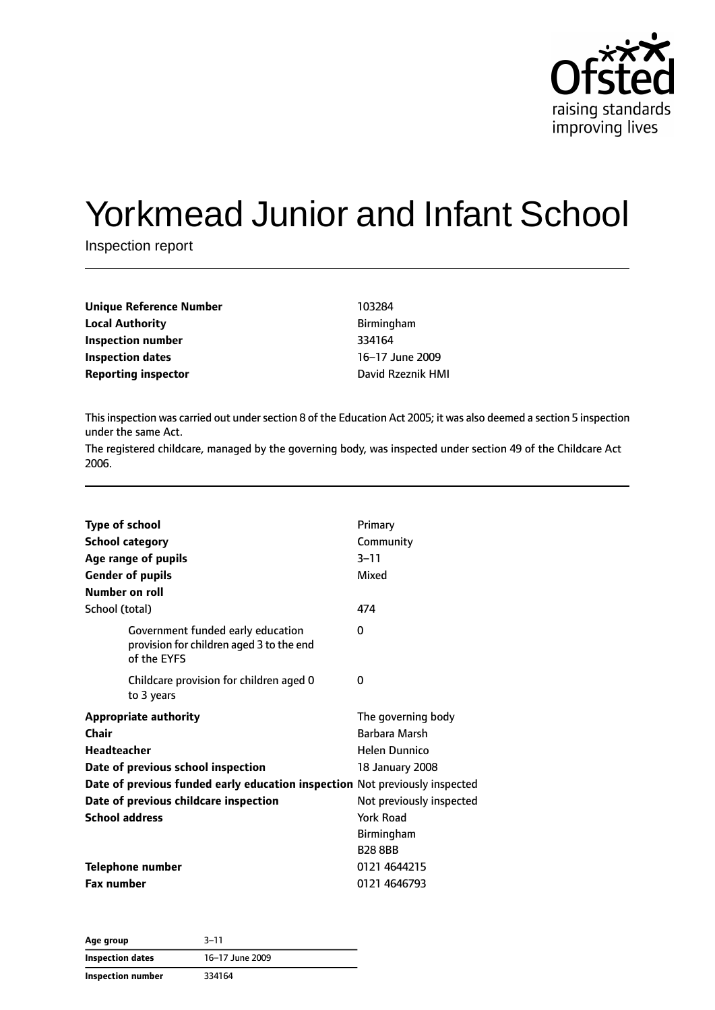

# Yorkmead Junior and Infant School

Inspection report

| Unique Reference Number    | 103284            |
|----------------------------|-------------------|
| Local Authority            | Birmingham        |
| Inspection number          | 334164            |
| Inspection dates           | 16-17 June 2009   |
| <b>Reporting inspector</b> | David Rzeznik HMI |
|                            |                   |

This inspection was carried out under section 8 of the Education Act 2005; it was also deemed a section 5 inspection under the same Act.

The registered childcare, managed by the governing body, was inspected under section 49 of the Childcare Act 2006.

| <b>Type of school</b> |                                                                                              | Primary                  |
|-----------------------|----------------------------------------------------------------------------------------------|--------------------------|
|                       | <b>School category</b>                                                                       | Community                |
|                       | Age range of pupils                                                                          | $3 - 11$                 |
|                       | <b>Gender of pupils</b>                                                                      | Mixed                    |
|                       | Number on roll                                                                               |                          |
| School (total)        |                                                                                              | 474                      |
|                       | Government funded early education<br>provision for children aged 3 to the end<br>of the EYFS | 0                        |
|                       | Childcare provision for children aged 0<br>to 3 years                                        | 0                        |
|                       | <b>Appropriate authority</b>                                                                 | The governing body       |
| Chair                 |                                                                                              | Barbara Marsh            |
| <b>Headteacher</b>    |                                                                                              | <b>Helen Dunnico</b>     |
|                       | Date of previous school inspection                                                           | 18 January 2008          |
|                       | Date of previous funded early education inspection Not previously inspected                  |                          |
|                       | Date of previous childcare inspection                                                        | Not previously inspected |
| <b>School address</b> |                                                                                              | York Road                |
|                       |                                                                                              | Birmingham               |
|                       |                                                                                              | <b>B288BB</b>            |
|                       | <b>Telephone number</b>                                                                      | 0121 4644215             |
| <b>Fax number</b>     |                                                                                              | 0121 4646793             |
|                       |                                                                                              |                          |

| Age group               | $3 - 11$        |  |
|-------------------------|-----------------|--|
| <b>Inspection dates</b> | 16-17 June 2009 |  |
| Inspection number       | 334164          |  |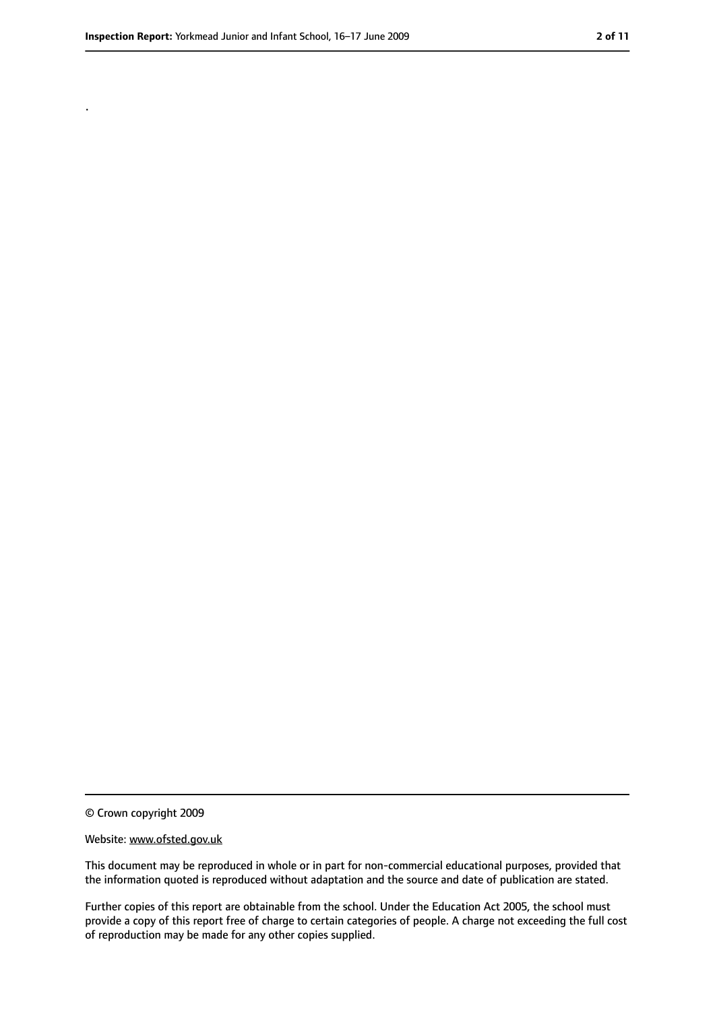.

<sup>©</sup> Crown copyright 2009

Website: www.ofsted.gov.uk

This document may be reproduced in whole or in part for non-commercial educational purposes, provided that the information quoted is reproduced without adaptation and the source and date of publication are stated.

Further copies of this report are obtainable from the school. Under the Education Act 2005, the school must provide a copy of this report free of charge to certain categories of people. A charge not exceeding the full cost of reproduction may be made for any other copies supplied.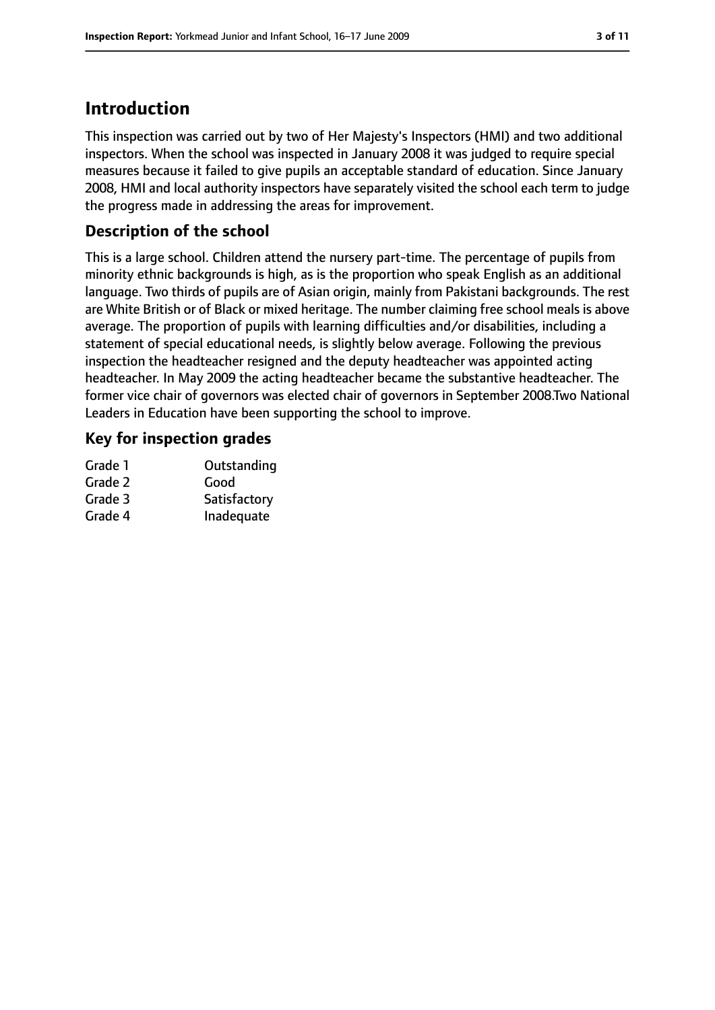### **Introduction**

This inspection was carried out by two of Her Majesty's Inspectors (HMI) and two additional inspectors. When the school was inspected in January 2008 it was judged to require special measures because it failed to give pupils an acceptable standard of education. Since January 2008, HMI and local authority inspectors have separately visited the school each term to judge the progress made in addressing the areas for improvement.

#### **Description of the school**

This is a large school. Children attend the nursery part-time. The percentage of pupils from minority ethnic backgrounds is high, as is the proportion who speak English as an additional language. Two thirds of pupils are of Asian origin, mainly from Pakistani backgrounds. The rest are White British or of Black or mixed heritage. The number claiming free school meals is above average. The proportion of pupils with learning difficulties and/or disabilities, including a statement of special educational needs, is slightly below average. Following the previous inspection the headteacher resigned and the deputy headteacher was appointed acting headteacher. In May 2009 the acting headteacher became the substantive headteacher. The former vice chair of governors was elected chair of governors in September 2008.Two National Leaders in Education have been supporting the school to improve.

#### **Key for inspection grades**

| Grade 1 | Outstanding  |
|---------|--------------|
| Grade 2 | Good         |
| Grade 3 | Satisfactory |
| Grade 4 | Inadequate   |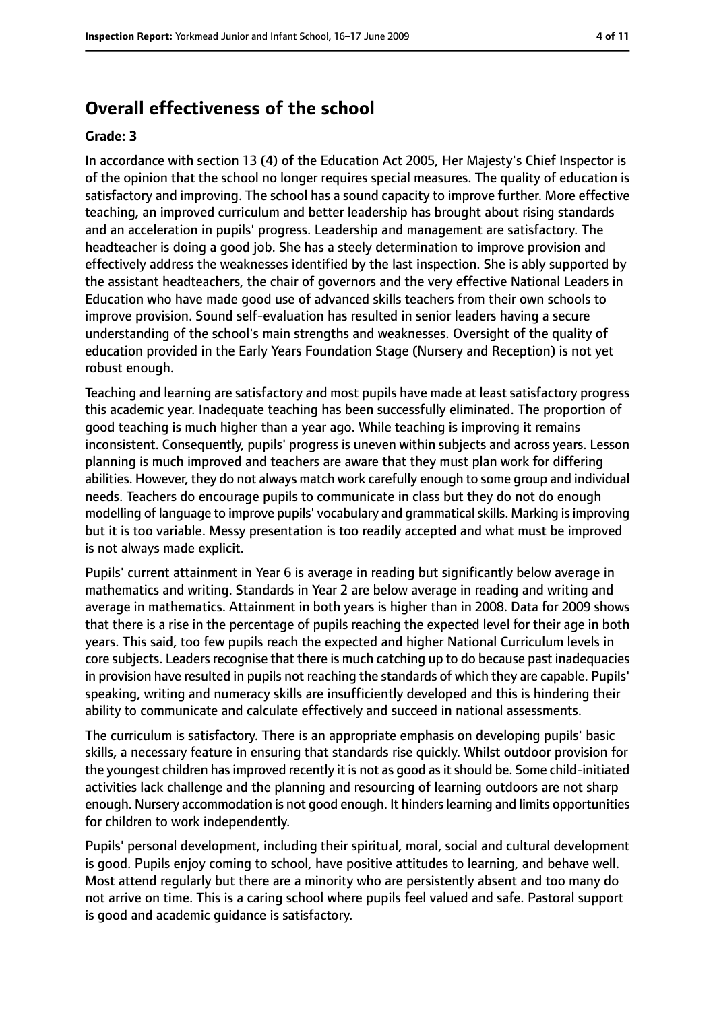### **Overall effectiveness of the school**

#### **Grade: 3**

In accordance with section 13 (4) of the Education Act 2005, Her Majesty's Chief Inspector is of the opinion that the school no longer requires special measures. The quality of education is satisfactory and improving. The school has a sound capacity to improve further. More effective teaching, an improved curriculum and better leadership has brought about rising standards and an acceleration in pupils' progress. Leadership and management are satisfactory. The headteacher is doing a good job. She has a steely determination to improve provision and effectively address the weaknesses identified by the last inspection. She is ably supported by the assistant headteachers, the chair of governors and the very effective National Leaders in Education who have made good use of advanced skills teachers from their own schools to improve provision. Sound self-evaluation has resulted in senior leaders having a secure understanding of the school's main strengths and weaknesses. Oversight of the quality of education provided in the Early Years Foundation Stage (Nursery and Reception) is not yet robust enough.

Teaching and learning are satisfactory and most pupils have made at least satisfactory progress this academic year. Inadequate teaching has been successfully eliminated. The proportion of good teaching is much higher than a year ago. While teaching is improving it remains inconsistent. Consequently, pupils' progress is uneven within subjects and across years. Lesson planning is much improved and teachers are aware that they must plan work for differing abilities. However, they do not always match work carefully enough to some group and individual needs. Teachers do encourage pupils to communicate in class but they do not do enough modelling of language to improve pupils' vocabulary and grammatical skills. Marking is improving but it is too variable. Messy presentation is too readily accepted and what must be improved is not always made explicit.

Pupils' current attainment in Year 6 is average in reading but significantly below average in mathematics and writing. Standards in Year 2 are below average in reading and writing and average in mathematics. Attainment in both years is higher than in 2008. Data for 2009 shows that there is a rise in the percentage of pupils reaching the expected level for their age in both years. This said, too few pupils reach the expected and higher National Curriculum levels in core subjects. Leaders recognise that there is much catching up to do because past inadequacies in provision have resulted in pupils not reaching the standards of which they are capable. Pupils' speaking, writing and numeracy skills are insufficiently developed and this is hindering their ability to communicate and calculate effectively and succeed in national assessments.

The curriculum is satisfactory. There is an appropriate emphasis on developing pupils' basic skills, a necessary feature in ensuring that standards rise quickly. Whilst outdoor provision for the youngest children hasimproved recently it is not as good asitshould be. Some child-initiated activities lack challenge and the planning and resourcing of learning outdoors are not sharp enough. Nursery accommodation is not good enough. It hinders learning and limits opportunities for children to work independently.

Pupils' personal development, including their spiritual, moral, social and cultural development is good. Pupils enjoy coming to school, have positive attitudes to learning, and behave well. Most attend regularly but there are a minority who are persistently absent and too many do not arrive on time. This is a caring school where pupils feel valued and safe. Pastoral support is good and academic guidance is satisfactory.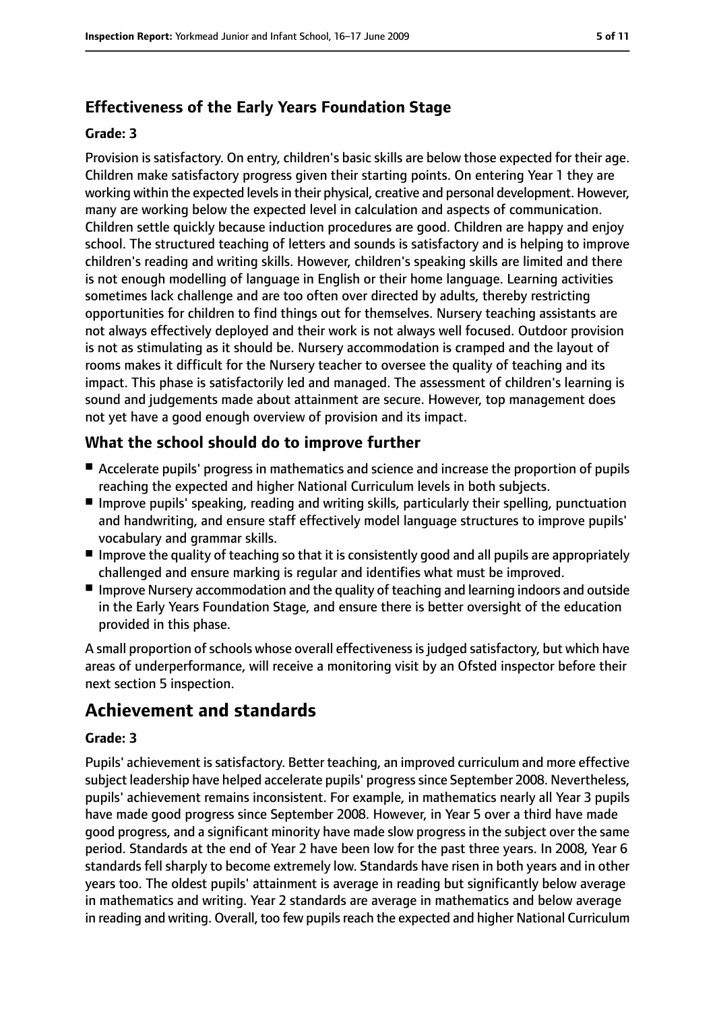### **Effectiveness of the Early Years Foundation Stage**

#### **Grade: 3**

Provision is satisfactory. On entry, children's basic skills are below those expected for their age. Children make satisfactory progress given their starting points. On entering Year 1 they are working within the expected levels in their physical, creative and personal development. However, many are working below the expected level in calculation and aspects of communication. Children settle quickly because induction procedures are good. Children are happy and enjoy school. The structured teaching of letters and sounds is satisfactory and is helping to improve children's reading and writing skills. However, children's speaking skills are limited and there is not enough modelling of language in English or their home language. Learning activities sometimes lack challenge and are too often over directed by adults, thereby restricting opportunities for children to find things out for themselves. Nursery teaching assistants are not always effectively deployed and their work is not always well focused. Outdoor provision is not as stimulating as it should be. Nursery accommodation is cramped and the layout of rooms makes it difficult for the Nursery teacher to oversee the quality of teaching and its impact. This phase is satisfactorily led and managed. The assessment of children's learning is sound and judgements made about attainment are secure. However, top management does not yet have a good enough overview of provision and its impact.

#### **What the school should do to improve further**

- Accelerate pupils' progress in mathematics and science and increase the proportion of pupils reaching the expected and higher National Curriculum levels in both subjects.
- Improve pupils' speaking, reading and writing skills, particularly their spelling, punctuation and handwriting, and ensure staff effectively model language structures to improve pupils' vocabulary and grammar skills.
- Improve the quality of teaching so that it is consistently good and all pupils are appropriately challenged and ensure marking is regular and identifies what must be improved.
- Improve Nursery accommodation and the quality of teaching and learning indoors and outside in the Early Years Foundation Stage, and ensure there is better oversight of the education provided in this phase.

A small proportion of schools whose overall effectiveness is judged satisfactory, but which have areas of underperformance, will receive a monitoring visit by an Ofsted inspector before their next section 5 inspection.

### **Achievement and standards**

#### **Grade: 3**

Pupils' achievement is satisfactory. Better teaching, an improved curriculum and more effective subject leadership have helped accelerate pupils' progress since September 2008. Nevertheless, pupils' achievement remains inconsistent. For example, in mathematics nearly all Year 3 pupils have made good progress since September 2008. However, in Year 5 over a third have made good progress, and a significant minority have made slow progress in the subject over the same period. Standards at the end of Year 2 have been low for the past three years. In 2008, Year 6 standards fell sharply to become extremely low. Standards have risen in both years and in other years too. The oldest pupils' attainment is average in reading but significantly below average in mathematics and writing. Year 2 standards are average in mathematics and below average in reading and writing. Overall, too few pupils reach the expected and higher National Curriculum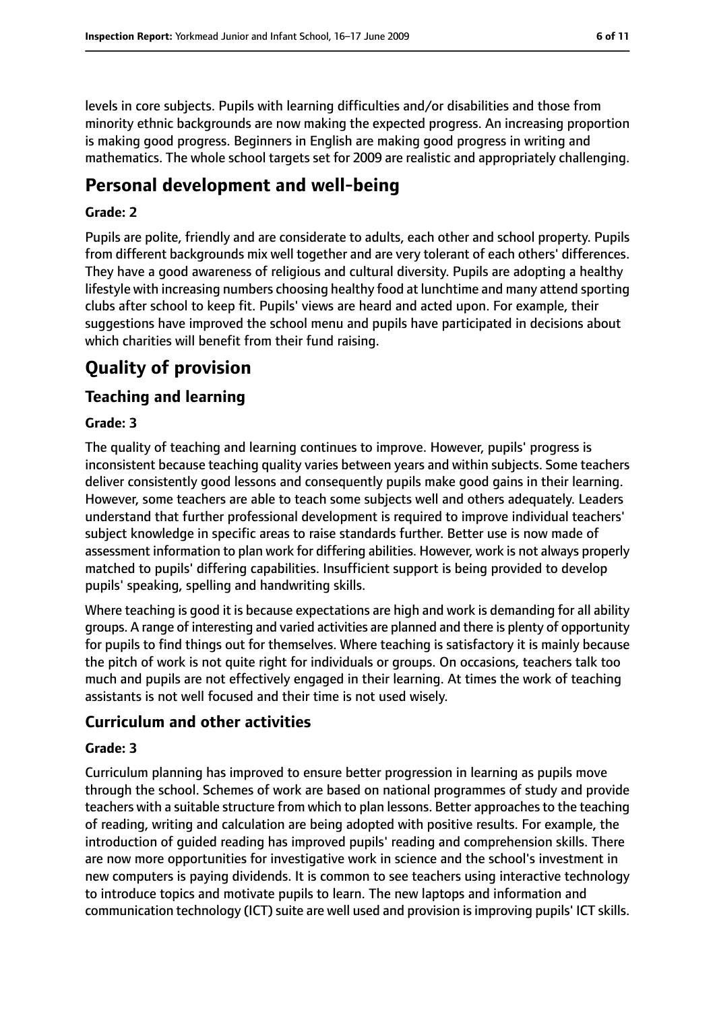levels in core subjects. Pupils with learning difficulties and/or disabilities and those from minority ethnic backgrounds are now making the expected progress. An increasing proportion is making good progress. Beginners in English are making good progress in writing and mathematics. The whole school targets set for 2009 are realistic and appropriately challenging.

### **Personal development and well-being**

#### **Grade: 2**

Pupils are polite, friendly and are considerate to adults, each other and school property. Pupils from different backgrounds mix well together and are very tolerant of each others' differences. They have a good awareness of religious and cultural diversity. Pupils are adopting a healthy lifestyle with increasing numbers choosing healthy food at lunchtime and many attend sporting clubs after school to keep fit. Pupils' views are heard and acted upon. For example, their suggestions have improved the school menu and pupils have participated in decisions about which charities will benefit from their fund raising.

### **Quality of provision**

### **Teaching and learning**

#### **Grade: 3**

The quality of teaching and learning continues to improve. However, pupils' progress is inconsistent because teaching quality varies between years and within subjects. Some teachers deliver consistently good lessons and consequently pupils make good gains in their learning. However, some teachers are able to teach some subjects well and others adequately. Leaders understand that further professional development is required to improve individual teachers' subject knowledge in specific areas to raise standards further. Better use is now made of assessment information to plan work for differing abilities. However, work is not always properly matched to pupils' differing capabilities. Insufficient support is being provided to develop pupils' speaking, spelling and handwriting skills.

Where teaching is good it is because expectations are high and work is demanding for all ability groups. A range of interesting and varied activities are planned and there is plenty of opportunity for pupils to find things out for themselves. Where teaching is satisfactory it is mainly because the pitch of work is not quite right for individuals or groups. On occasions, teachers talk too much and pupils are not effectively engaged in their learning. At times the work of teaching assistants is not well focused and their time is not used wisely.

#### **Curriculum and other activities**

#### **Grade: 3**

Curriculum planning has improved to ensure better progression in learning as pupils move through the school. Schemes of work are based on national programmes of study and provide teachers with a suitable structure from which to plan lessons. Better approaches to the teaching of reading, writing and calculation are being adopted with positive results. For example, the introduction of guided reading has improved pupils' reading and comprehension skills. There are now more opportunities for investigative work in science and the school's investment in new computers is paying dividends. It is common to see teachers using interactive technology to introduce topics and motivate pupils to learn. The new laptops and information and communication technology (ICT) suite are well used and provision is improving pupils' ICT skills.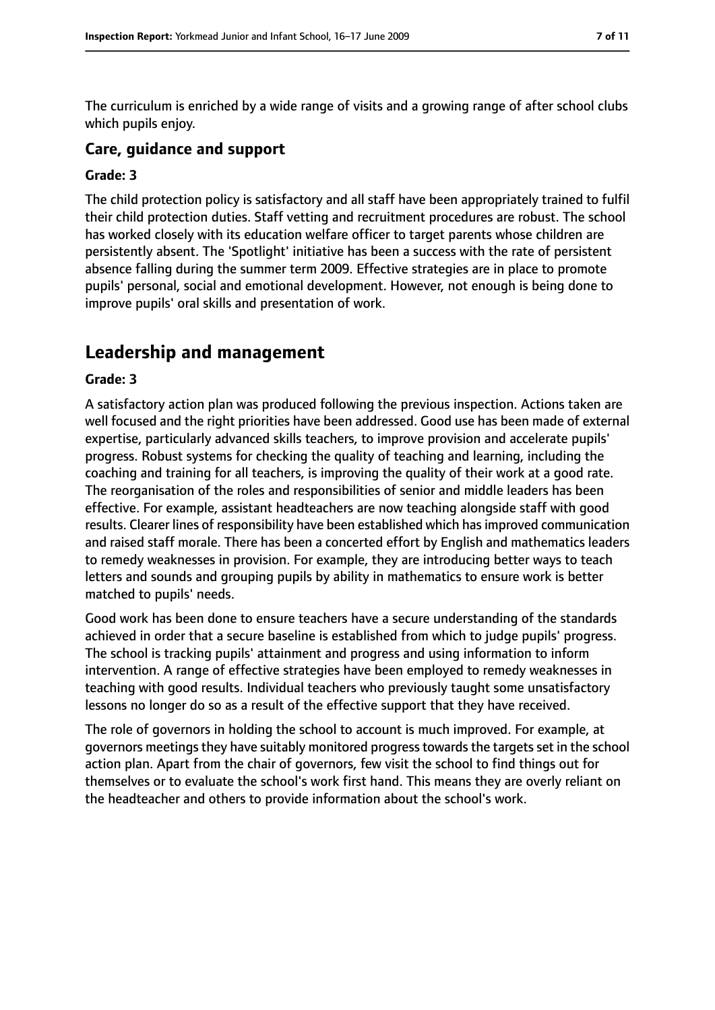The curriculum is enriched by a wide range of visits and a growing range of after school clubs which pupils enjoy.

#### **Care, guidance and support**

#### **Grade: 3**

The child protection policy is satisfactory and all staff have been appropriately trained to fulfil their child protection duties. Staff vetting and recruitment procedures are robust. The school has worked closely with its education welfare officer to target parents whose children are persistently absent. The 'Spotlight' initiative has been a success with the rate of persistent absence falling during the summer term 2009. Effective strategies are in place to promote pupils' personal, social and emotional development. However, not enough is being done to improve pupils' oral skills and presentation of work.

### **Leadership and management**

#### **Grade: 3**

A satisfactory action plan was produced following the previous inspection. Actions taken are well focused and the right priorities have been addressed. Good use has been made of external expertise, particularly advanced skills teachers, to improve provision and accelerate pupils' progress. Robust systems for checking the quality of teaching and learning, including the coaching and training for all teachers, is improving the quality of their work at a good rate. The reorganisation of the roles and responsibilities of senior and middle leaders has been effective. For example, assistant headteachers are now teaching alongside staff with good results. Clearer lines of responsibility have been established which has improved communication and raised staff morale. There has been a concerted effort by English and mathematics leaders to remedy weaknesses in provision. For example, they are introducing better ways to teach letters and sounds and grouping pupils by ability in mathematics to ensure work is better matched to pupils' needs.

Good work has been done to ensure teachers have a secure understanding of the standards achieved in order that a secure baseline is established from which to judge pupils' progress. The school is tracking pupils' attainment and progress and using information to inform intervention. A range of effective strategies have been employed to remedy weaknesses in teaching with good results. Individual teachers who previously taught some unsatisfactory lessons no longer do so as a result of the effective support that they have received.

The role of governors in holding the school to account is much improved. For example, at governors meetings they have suitably monitored progress towards the targets set in the school action plan. Apart from the chair of governors, few visit the school to find things out for themselves or to evaluate the school's work first hand. This means they are overly reliant on the headteacher and others to provide information about the school's work.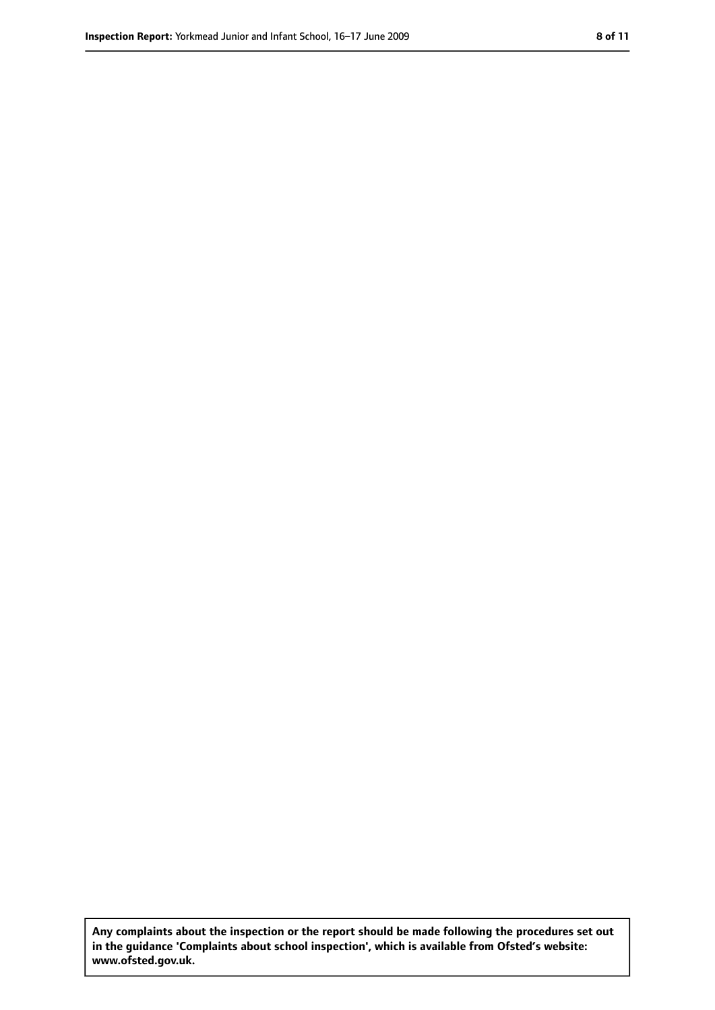**Any complaints about the inspection or the report should be made following the procedures set out in the guidance 'Complaints about school inspection', which is available from Ofsted's website: www.ofsted.gov.uk.**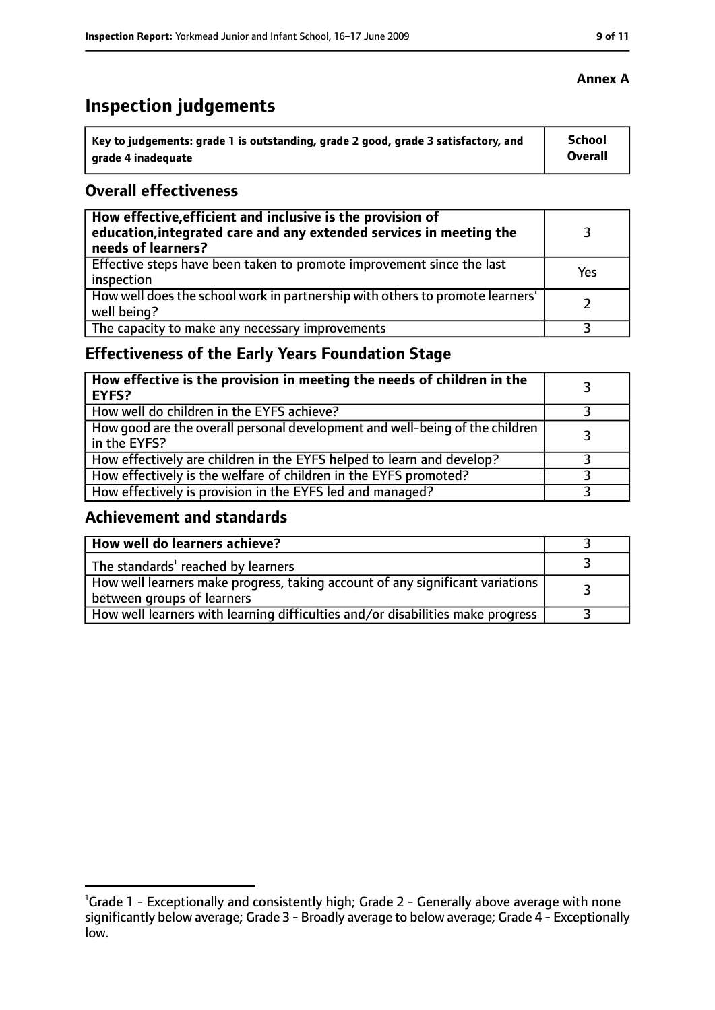## **Inspection judgements**

| Key to judgements: grade 1 is outstanding, grade 2 good, grade 3 satisfactory, and | School  |
|------------------------------------------------------------------------------------|---------|
| arade 4 inadequate                                                                 | Overall |

#### **Overall effectiveness**

| How effective, efficient and inclusive is the provision of<br>education, integrated care and any extended services in meeting the<br>needs of learners? |     |
|---------------------------------------------------------------------------------------------------------------------------------------------------------|-----|
| Effective steps have been taken to promote improvement since the last<br>inspection                                                                     | Yes |
| How well does the school work in partnership with others to promote learners'<br>well being?                                                            |     |
| The capacity to make any necessary improvements                                                                                                         |     |

### **Effectiveness of the Early Years Foundation Stage**

| How effective is the provision in meeting the needs of children in the<br><b>EYFS?</b>       |  |
|----------------------------------------------------------------------------------------------|--|
| How well do children in the EYFS achieve?                                                    |  |
| How good are the overall personal development and well-being of the children<br>in the EYFS? |  |
| How effectively are children in the EYFS helped to learn and develop?                        |  |
| How effectively is the welfare of children in the EYFS promoted?                             |  |
| How effectively is provision in the EYFS led and managed?                                    |  |

#### **Achievement and standards**

| How well do learners achieve?                                                                               |  |
|-------------------------------------------------------------------------------------------------------------|--|
| The standards <sup>1</sup> reached by learners                                                              |  |
| How well learners make progress, taking account of any significant variations<br>between groups of learners |  |
| How well learners with learning difficulties and/or disabilities make progress                              |  |

#### **Annex A**

<sup>&</sup>lt;sup>1</sup>Grade 1 - Exceptionally and consistently high; Grade 2 - Generally above average with none significantly below average; Grade 3 - Broadly average to below average; Grade 4 - Exceptionally low.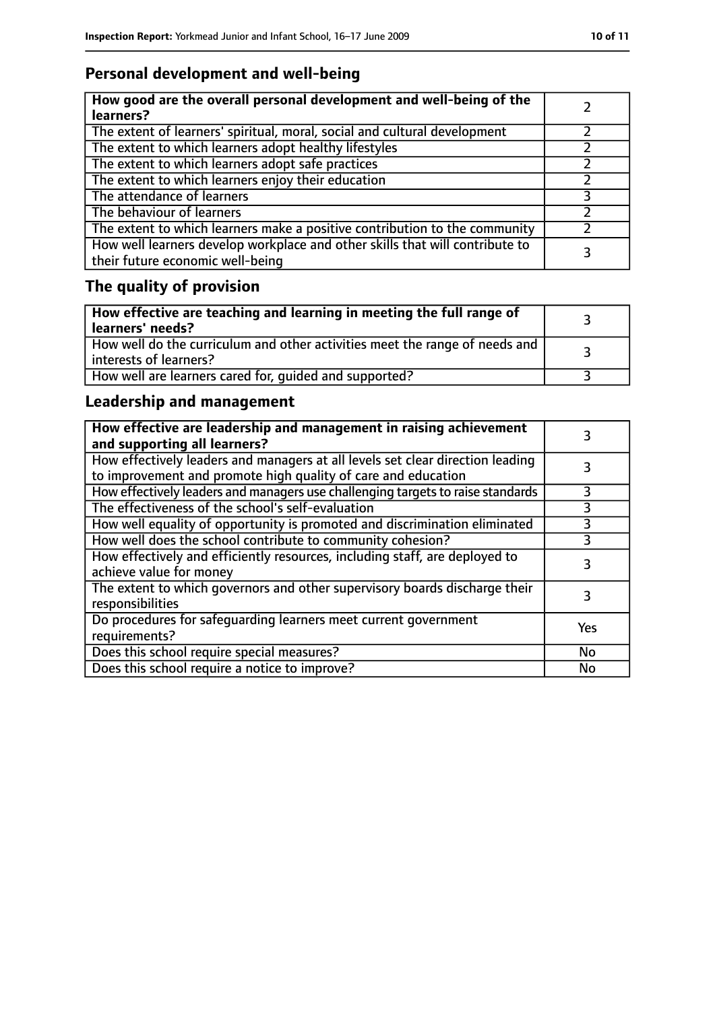### **Personal development and well-being**

| How good are the overall personal development and well-being of the<br>learners?                                 |  |
|------------------------------------------------------------------------------------------------------------------|--|
| The extent of learners' spiritual, moral, social and cultural development                                        |  |
| The extent to which learners adopt healthy lifestyles                                                            |  |
| The extent to which learners adopt safe practices                                                                |  |
| The extent to which learners enjoy their education                                                               |  |
| The attendance of learners                                                                                       |  |
| The behaviour of learners                                                                                        |  |
| The extent to which learners make a positive contribution to the community                                       |  |
| How well learners develop workplace and other skills that will contribute to<br>their future economic well-being |  |

### **The quality of provision**

| How effective are teaching and learning in meeting the full range of<br>learners' needs?                |  |
|---------------------------------------------------------------------------------------------------------|--|
| How well do the curriculum and other activities meet the range of needs and<br>  interests of learners? |  |
| How well are learners cared for, quided and supported?                                                  |  |

### **Leadership and management**

| How effective are leadership and management in raising achievement<br>and supporting all learners?                                              |     |
|-------------------------------------------------------------------------------------------------------------------------------------------------|-----|
| How effectively leaders and managers at all levels set clear direction leading<br>to improvement and promote high quality of care and education |     |
| How effectively leaders and managers use challenging targets to raise standards                                                                 |     |
| The effectiveness of the school's self-evaluation                                                                                               | 3   |
| How well equality of opportunity is promoted and discrimination eliminated                                                                      | 3   |
| How well does the school contribute to community cohesion?                                                                                      | 3   |
| How effectively and efficiently resources, including staff, are deployed to<br>achieve value for money                                          | 3   |
| The extent to which governors and other supervisory boards discharge their<br>responsibilities                                                  |     |
| Do procedures for safequarding learners meet current government<br>requirements?                                                                | Yes |
| Does this school require special measures?                                                                                                      | No  |
| Does this school require a notice to improve?                                                                                                   | No  |